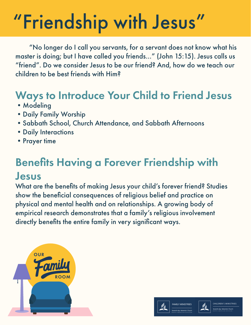"No longer do I call you servants, for a servant does not know what his master is doing; but I have called you friends…" (John 15:15). Jesus calls us "friend". Do we consider Jesus to be our friend? And, how do we teach our children to be best friends with Him?

### Ways to Introduce Your Child to Friend Jesus

- Modeling
- •Daily Family Worship
- •Sabbath School, Church Attendance, and Sabbath Afternoons
- •Daily Interactions
- •Prayer time

### Benefits Having a Forever Friendship with Jesus

What are the benefits of making Jesus your child's forever friend? Studies show the beneficial consequences of religious belief and practice on physical and mental health and on relationships. A growing body of empirical research demonstrates that a family's religious involvement directly benefits the entire family in very significant ways.





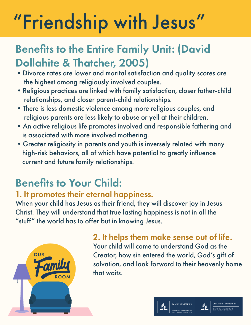### Benefits to the Entire Family Unit: (David Dollahite & Thatcher, 2005)

- •Divorce rates are lower and marital satisfaction and quality scores are the highest among religiously involved couples.
- •Religious practices are linked with family satisfaction, closer father-child relationships, and closer parent-child relationships.
- •There is less domestic violence among more religious couples, and religious parents are less likely to abuse or yell at their children.
- •An active religious life promotes involved and responsible fathering and is associated with more involved mothering.
- •Greater religiosity in parents and youth is inversely related with many high-risk behaviors, all of which have potential to greatly influence current and future family relationships.

### Benefits to Your Child:

### 1. It promotes their eternal happiness.

When your child has Jesus as their friend, they will discover joy in Jesus Christ. They will understand that true lasting happiness is not in all the "stuff" the world has to offer but in knowing Jesus.



#### 2. It helps them make sense out of life. Your child will come to understand God as the Creator, how sin entered the world, God's gift of salvation, and look forward to their heavenly home that waits.



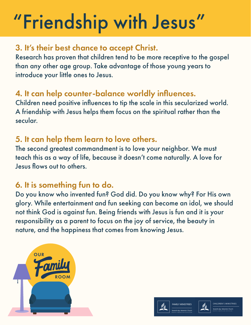#### 3. It's their best chance to accept Christ.

Research has proven that children tend to be more receptive to the gospel than any other age group. Take advantage of those young years to introduce your little ones to Jesus.

#### 4. It can help counter-balance worldly influences.

Children need positive influences to tip the scale in this secularized world. A friendship with Jesus helps them focus on the spiritual rather than the secular.

#### 5. It can help them learn to love others.

The second greatest commandment is to love your neighbor. We must teach this as a way of life, because it doesn't come naturally. A love for Jesus flows out to others.

#### 6. It is something fun to do.

Do you know who invented fun? God did. Do you know why? For His own glory. While entertainment and fun seeking can become an idol, we should not think God is against fun. Being friends with Jesus is fun and it is your responsibility as a parent to focus on the joy of service, the beauty in nature, and the happiness that comes from knowing Jesus.





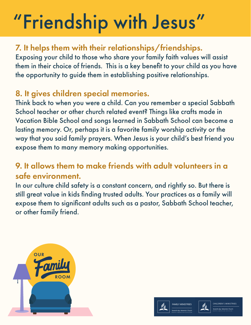### 7. It helps them with their relationships/friendships.

Exposing your child to those who share your family faith values will assist them in their choice of friends. This is a key benefit to your child as you have the opportunity to guide them in establishing positive relationships.

### 8. It gives children special memories.

Think back to when you were a child. Can you remember a special Sabbath School teacher or other church related event? Things like crafts made in Vacation Bible School and songs learned in Sabbath School can become a lasting memory. Or, perhaps it is a favorite family worship activity or the way that you said family prayers. When Jesus is your child's best friend you expose them to many memory making opportunities.

#### 9. It allows them to make friends with adult volunteers in a safe environment.

In our culture child safety is a constant concern, and rightly so. But there is still great value in kids finding trusted adults. Your practices as a family will expose them to significant adults such as a pastor, Sabbath School teacher, or other family friend.





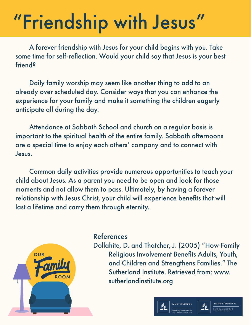A forever friendship with Jesus for your child begins with you. Take some time for self-reflection. Would your child say that Jesus is your best friend?

 Daily family worship may seem like another thing to add to an already over scheduled day. Consider ways that you can enhance the experience for your family and make it something the children eagerly anticipate all during the day.

 Attendance at Sabbath School and church on a regular basis is important to the spiritual health of the entire family. Sabbath afternoons are a special time to enjoy each others' company and to connect with Jesus.

 Common daily activities provide numerous opportunities to teach your child about Jesus. As a parent you need to be open and look for those moments and not allow them to pass. Ultimately, by having a forever relationship with Jesus Christ, your child will experience benefits that will last a lifetime and carry them through eternity.



#### References

Dollahite, D. and Thatcher, J. (2005) "How Family Religious Involvement Benefits Adults, Youth, and Children and Strengthens Families." The Sutherland Institute. Retrieved from: www. sutherlandinstitute.org



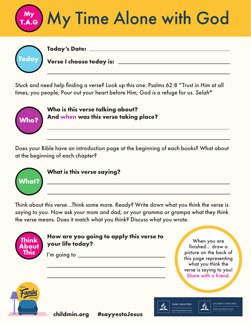

| <b>Today's Date:</b>           |
|--------------------------------|
| Today Verse I choose today is: |

Stuck and need help finding a verse? Look up this one: Psalms 62:8 "Trust in Him at all times, you people; Pour out your heart before Him; God *is* a refuge for us. *Selah***"**



**Who is this verse talking about? And when was this verse taking place?**

Does your Bible have an introduction page at the beginning of each books? What about at the beginning of each chapter?



**What is this verse saying?**

Think about this verse...Think some more. Ready? Write down what you think the verse is saying to you. Now ask your mom and dad, or your gramma or grampa what they think the verse means. Does it match what you think? Discuss what you wrote.



#### **How are you going to apply this verse to your life today?**

I'm going to  $\sqrt{2\pi}$ 

When you are finished... draw a picture on the back of this page representing what you think the verse is saying to you! Share with a friend.



**childmin.org #sayyestoJesus**





**CHILDREN'S MINISTRIES**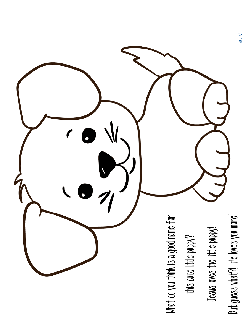